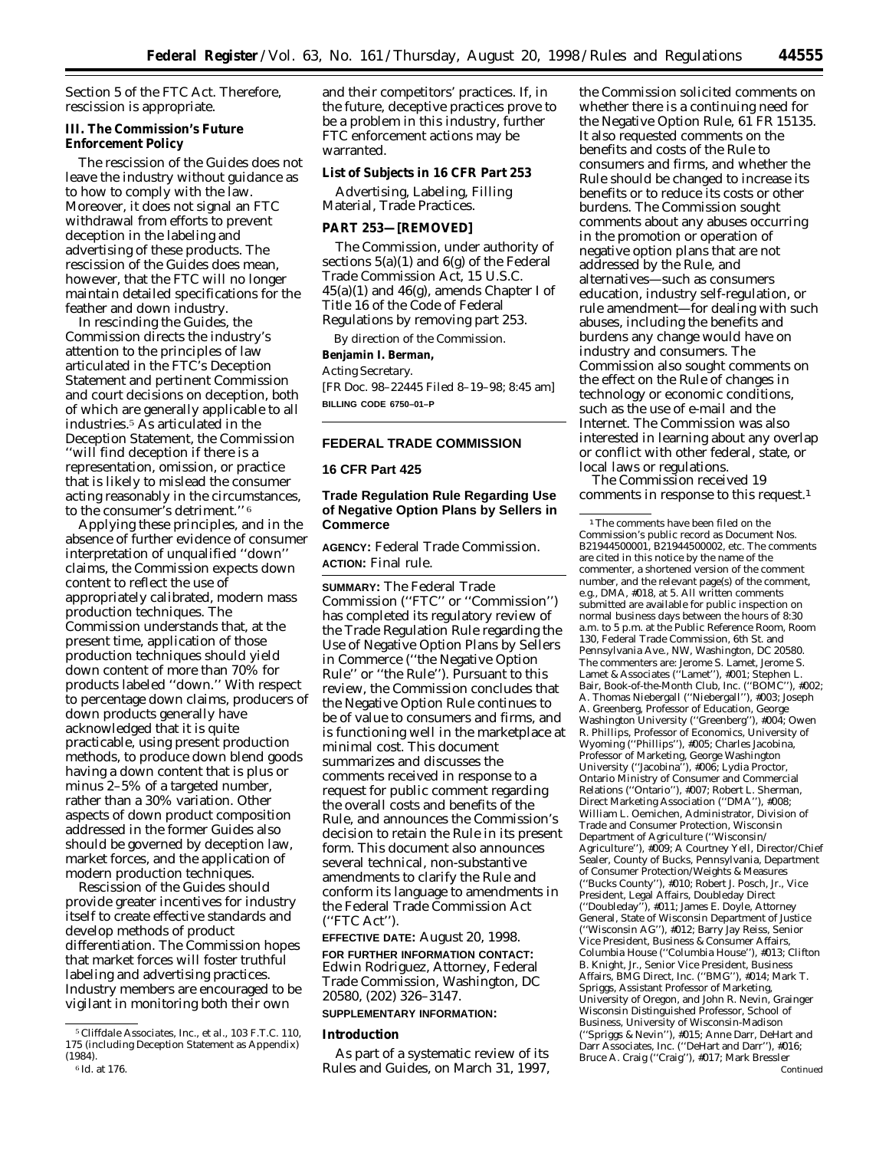Section 5 of the FTC Act. Therefore, rescission is appropriate.

### **III. The Commission's Future Enforcement Policy**

The rescission of the Guides does not leave the industry without guidance as to how to comply with the law. Moreover, it does not signal an FTC withdrawal from efforts to prevent deception in the labeling and advertising of these products. The rescission of the Guides does mean, however, that the FTC will no longer maintain detailed specifications for the feather and down industry.

In rescinding the Guides, the Commission directs the industry's attention to the principles of law articulated in the FTC's Deception Statement and pertinent Commission and court decisions on deception, both of which are generally applicable to all industries.5 As articulated in the Deception Statement, the Commission ''will find deception if there is a representation, omission, or practice that is likely to mislead the consumer acting reasonably in the circumstances, to the consumer's detriment.'' 6

Applying these principles, and in the absence of further evidence of consumer interpretation of unqualified ''down'' claims, the Commission expects down content to reflect the use of appropriately calibrated, modern mass production techniques. The Commission understands that, at the present time, application of those production techniques should yield down content of more than 70% for products labeled ''down.'' With respect to percentage down claims, producers of down products generally have acknowledged that it is quite practicable, using present production methods, to produce down blend goods having a down content that is plus or minus 2–5% of a targeted number, rather than a 30% variation. Other aspects of down product composition addressed in the former Guides also should be governed by deception law, market forces, and the application of modern production techniques.

Rescission of the Guides should provide greater incentives for industry itself to create effective standards and develop methods of product differentiation. The Commission hopes that market forces will foster truthful labeling and advertising practices. Industry members are encouraged to be vigilant in monitoring both their own

and their competitors' practices. If, in the future, deceptive practices prove to be a problem in this industry, further FTC enforcement actions may be warranted.

### **List of Subjects in 16 CFR Part 253**

Advertising, Labeling, Filling Material, Trade Practices.

### **PART 253—[REMOVED]**

The Commission, under authority of sections 5(a)(1) and 6(g) of the Federal Trade Commission Act, 15 U.S.C.  $45(a)(1)$  and  $46(g)$ , amends Chapter I of Title 16 of the Code of Federal Regulations by removing part 253.

By direction of the Commission.

# **Benjamin I. Berman,**

*Acting Secretary.*

[FR Doc. 98–22445 Filed 8–19–98; 8:45 am] **BILLING CODE 6750–01–P**

### **FEDERAL TRADE COMMISSION**

### **16 CFR Part 425**

# **Trade Regulation Rule Regarding Use of Negative Option Plans by Sellers in Commerce**

**AGENCY:** Federal Trade Commission. **ACTION:** Final rule.

**SUMMARY:** The Federal Trade Commission (''FTC'' or ''Commission'') has completed its regulatory review of the Trade Regulation Rule regarding the Use of Negative Option Plans by Sellers in Commerce (''the Negative Option Rule'' or ''the Rule''). Pursuant to this review, the Commission concludes that the Negative Option Rule continues to be of value to consumers and firms, and is functioning well in the marketplace at minimal cost. This document summarizes and discusses the comments received in response to a request for public comment regarding the overall costs and benefits of the Rule, and announces the Commission's decision to retain the Rule in its present form. This document also announces several technical, non-substantive amendments to clarify the Rule and conform its language to amendments in the Federal Trade Commission Act (''FTC Act'').

# **EFFECTIVE DATE:** August 20, 1998.

**FOR FURTHER INFORMATION CONTACT:** Edwin Rodriguez, Attorney, Federal Trade Commission, Washington, DC 20580, (202) 326–3147.

# **SUPPLEMENTARY INFORMATION:**

### **Introduction**

As part of a systematic review of its Rules and Guides, on March 31, 1997,

the Commission solicited comments on whether there is a continuing need for the Negative Option Rule, 61 FR 15135. It also requested comments on the benefits and costs of the Rule to consumers and firms, and whether the Rule should be changed to increase its benefits or to reduce its costs or other burdens. The Commission sought comments about any abuses occurring in the promotion or operation of negative option plans that are not addressed by the Rule, and alternatives—such as consumers education, industry self-regulation, or rule amendment—for dealing with such abuses, including the benefits and burdens any change would have on industry and consumers. The Commission also sought comments on the effect on the Rule of changes in technology or economic conditions, such as the use of e-mail and the Internet. The Commission was also interested in learning about any overlap or conflict with other federal, state, or local laws or regulations.

The Commission received 19 comments in response to this request.1

<sup>1</sup>The comments have been filed on the Commission's public record as Document Nos. B21944500001, B21944500002, etc. The comments are cited in this notice by the name of the commenter, a shortened version of the comment number, and the relevant page(s) of the comment, e.g., DMA, #018, at 5. All written comments submitted are available for public inspection on normal business days between the hours of 8:30 a.m. to 5 p.m. at the Public Reference Room, Room 130, Federal Trade Commission, 6th St. and Pennsylvania Ave., NW, Washington, DC 20580. The commenters are: Jerome S. Lamet, Jerome S. Lamet & Associates (''Lamet''), #001; Stephen L. Bair, Book-of-the-Month Club, Inc. (''BOMC''), #002; A. Thomas Niebergall (''Niebergall''), #003; Joseph A. Greenberg, Professor of Education, George Washington University (''Greenberg''), #004; Owen R. Phillips, Professor of Economics, University of Wyoming (''Phillips''), #005; Charles Jacobina, Professor of Marketing, George Washington University (''Jacobina''), #006; Lydia Proctor, Ontario Ministry of Consumer and Commercial Relations (''Ontario''), #007; Robert L. Sherman, Direct Marketing Association (''DMA''), #008; William L. Oemichen, Administrator, Division of Trade and Consumer Protection, Wisconsin Department of Agriculture (''Wisconsin/ Agriculture''), #009; A Courtney Yell, Director/Chief Sealer, County of Bucks, Pennsylvania, Department of Consumer Protection/Weights & Measures (''Bucks County''), #010; Robert J. Posch, Jr., Vice President, Legal Affairs, Doubleday Direct (''Doubleday''), #011; James E. Doyle, Attorney General, State of Wisconsin Department of Justice (''Wisconsin AG''), #012; Barry Jay Reiss, Senior Vice President, Business & Consumer Affairs, Columbia House (''Columbia House''), #013; Clifton B. Knight, Jr., Senior Vice President, Business Affairs, BMG Direct, Inc. (''BMG''), #014; Mark T. Spriggs, Assistant Professor of Marketing, University of Oregon, and John R. Nevin, Grainger Wisconsin Distinguished Professor, School of Business, University of Wisconsin-Madison (''Spriggs & Nevin''), #015; Anne Darr, DeHart and Darr Associates, Inc. (''DeHart and Darr''), #016; Bruce A. Craig (''Craig''), #017; Mark Bressler Continued

<sup>5</sup>*Cliffdale Associates, Inc., et al.,* 103 F.T.C. 110, 175 (including Deception Statement as Appendix) (1984). 6 *Id.* at 176.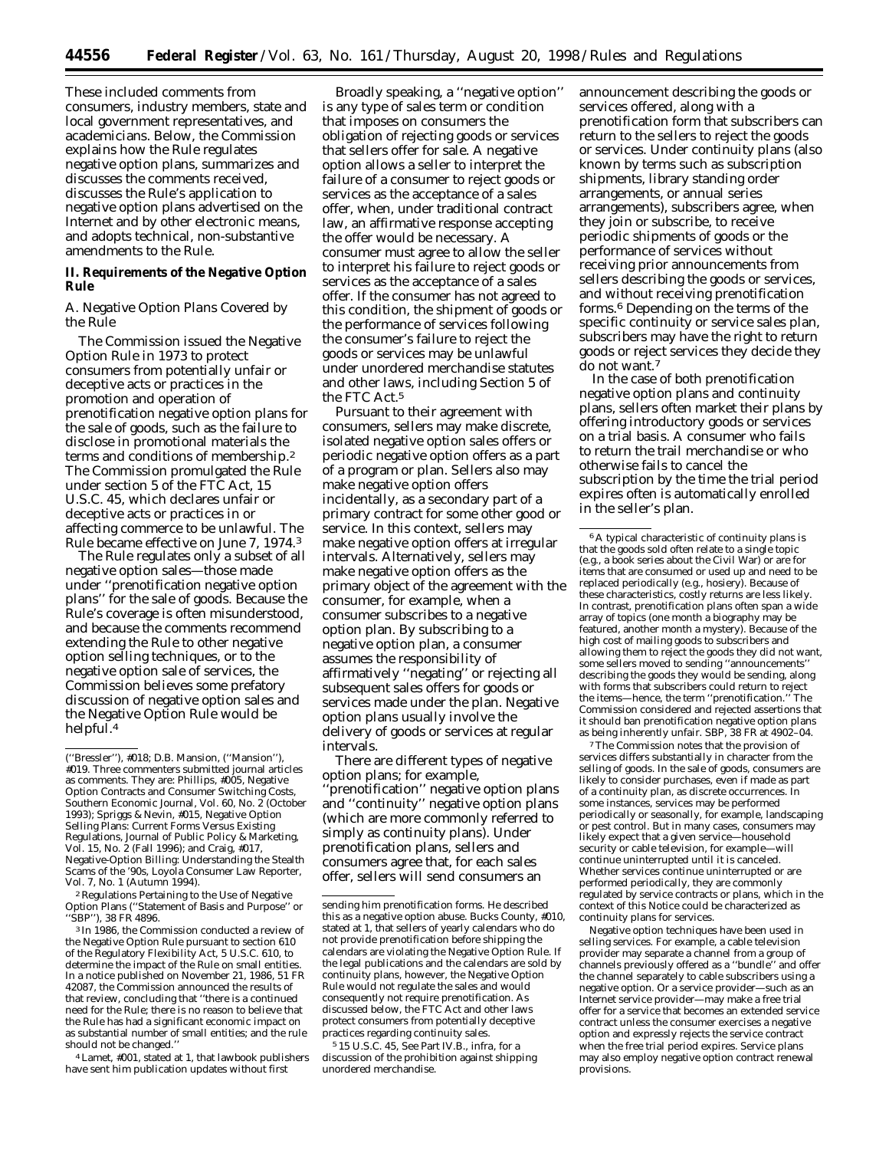These included comments from consumers, industry members, state and local government representatives, and academicians. Below, the Commission explains how the Rule regulates negative option plans, summarizes and discusses the comments received, discusses the Rule's application to negative option plans advertised on the Internet and by other electronic means, and adopts technical, non-substantive amendments to the Rule.

## **II. Requirements of the Negative Option Rule**

### *A. Negative Option Plans Covered by the Rule*

The Commission issued the Negative Option Rule in 1973 to protect consumers from potentially unfair or deceptive acts or practices in the promotion and operation of prenotification negative option plans for the sale of goods, such as the failure to disclose in promotional materials the terms and conditions of membership.2 The Commission promulgated the Rule under section 5 of the FTC Act, 15 U.S.C. 45, which declares unfair or deceptive acts or practices in or affecting commerce to be unlawful. The Rule became effective on June 7, 1974.3

The Rule regulates only a subset of all negative option sales—those made under ''prenotification negative option plans'' for the sale of goods. Because the Rule's coverage is often misunderstood, and because the comments recommend extending the Rule to other negative option selling techniques, or to the negative option sale of services, the Commission believes some prefatory discussion of negative option sales and the Negative Option Rule would be helpful.<sup>4</sup>

2Regulations Pertaining to the Use of Negative Option Plans (''Statement of Basis and Purpose'' or ''SBP''), 38 FR 4896.

3 In 1986, the Commission conducted a review of the Negative Option Rule pursuant to section 610 of the Regulatory Flexibility Act, 5 U.S.C. 610, to determine the impact of the Rule on small entities. In a notice published on November 21, 1986, 51 FR 42087, the Commission announced the results of that review, concluding that ''there is a continued need for the Rule; there is no reason to believe that the Rule has had a significant economic impact on as substantial number of small entities; and the rule should not be changed.''

4Lamet, #001, stated at 1, that lawbook publishers have sent him publication updates without first

Broadly speaking, a ''negative option'' is any type of sales term or condition that imposes on consumers the obligation of rejecting goods or services that sellers offer for sale. A negative option allows a seller to interpret the failure of a consumer to reject goods or services as the acceptance of a sales offer, when, under traditional contract law, an affirmative response accepting the offer would be necessary. A consumer must agree to allow the seller to interpret his failure to reject goods or services as the acceptance of a sales offer. If the consumer has not agreed to this condition, the shipment of goods or the performance of services following the consumer's failure to reject the goods or services may be unlawful under unordered merchandise statutes and other laws, including Section 5 of the FTC Act.5

Pursuant to their agreement with consumers, sellers may make discrete, isolated negative option sales offers or periodic negative option offers as a part of a program or plan. Sellers also may make negative option offers incidentally, as a secondary part of a primary contract for some other good or service. In this context, sellers may make negative option offers at irregular intervals. Alternatively, sellers may make negative option offers as the primary object of the agreement with the consumer, for example, when a consumer subscribes to a negative option plan. By subscribing to a negative option plan, a consumer assumes the responsibility of affirmatively ''negating'' or rejecting all subsequent sales offers for goods or services made under the plan. Negative option plans usually involve the delivery of goods or services at regular intervals.

There are different types of negative option plans; for example, 'prenotification'' negative option plans and ''continuity'' negative option plans (which are more commonly referred to simply as continuity plans). Under prenotification plans, sellers and consumers agree that, for each sales offer, sellers will send consumers an

5 15 U.S.C. 45, See Part IV.B., *infra,* for a discussion of the prohibition against shipping unordered merchandise.

announcement describing the goods or services offered, along with a prenotification form that subscribers can return to the sellers to reject the goods or services. Under continuity plans (also known by terms such as subscription shipments, library standing order arrangements, or annual series arrangements), subscribers agree, when they join or subscribe, to receive periodic shipments of goods or the performance of services without receiving prior announcements from sellers describing the goods or services, and without receiving prenotification forms.6 Depending on the terms of the specific continuity or service sales plan, subscribers may have the right to return goods or reject services they decide they do not want.7

In the case of both prenotification negative option plans and continuity plans, sellers often market their plans by offering introductory goods or services on a trial basis. A consumer who fails to return the trail merchandise or who otherwise fails to cancel the subscription by the time the trial period expires often is automatically enrolled in the seller's plan.

7The Commission notes that the provision of services differs substantially in character from the selling of goods. In the sale of goods, consumers are likely to consider purchases, even if made as part of a continuity plan, as discrete occurrences. In some instances, services may be performed periodically or seasonally, for example, landscaping or pest control. But in many cases, consumers may likely expect that a given service—household security or cable television, for example—will continue uninterrupted until it is canceled. Whether services continue uninterrupted or are performed periodically, they are commonly regulated by service contracts or plans, which in the context of this Notice could be characterized as continuity plans for services.

Negative option techniques have been used in selling services. For example, a cable television provider may separate a channel from a group of channels previously offered as a ''bundle'' and offer the channel separately to cable subscribers using a negative option. Or a service provider—such as an Internet service provider—may make a free trial offer for a service that becomes an extended service contract unless the consumer exercises a negative option and expressly rejects the service contract when the free trial period expires. Service plans may also employ negative option contract renewal provisions.

<sup>(&#</sup>x27;'Bressler''), #018; D.B. Mansion, (''Mansion''), #019. Three commenters submitted journal articles as comments. They are: Phillips, #005, Negative Option Contracts and Consumer Switching Costs, Southern Economic Journal, Vol. 60, No. 2 (October 1993); Spriggs & Nevin, #015, Negative Option Selling Plans: Current Forms Versus Existing Regulations, Journal of Public Policy & Marketing, Vol. 15, No. 2 (Fall 1996); and Craig, #017, Negative-Option Billing: Understanding the Stealth Scams of the '90s, Loyola Consumer Law Reporter, Vol. 7, No. 1 (Autumn 1994).

sending him prenotification forms. He described this as a negative option abuse. Bucks County, #010, stated at 1, that sellers of yearly calendars who do not provide prenotification before shipping the calendars are violating the Negative Option Rule. If the legal publications and the calendars are sold by continuity plans, however, the Negative Option Rule would not regulate the sales and would consequently not require prenotification. As discussed below, the FTC Act and other laws protect consumers from potentially deceptive practices regarding continuity sales.

<sup>6</sup>A typical characteristic of continuity plans is that the goods sold often relate to a single topic (e.g., a book series about the Civil War) or are for items that are consumed or used up and need to be replaced periodically (e.g., hosiery). Because of these characteristics, costly returns are less likely. In contrast, prenotification plans often span a wide array of topics (one month a biography may be featured, another month a mystery). Because of the high cost of mailing goods to subscribers and allowing them to reject the goods they did not want, some sellers moved to sending ''announcements'' describing the goods they would be sending, along with forms that subscribers could return to reject the items—hence, the term ''prenotification.'' The Commission considered and rejected assertions that it should ban prenotification negative option plans as being inherently unfair. SBP, 38 FR at 4902–04.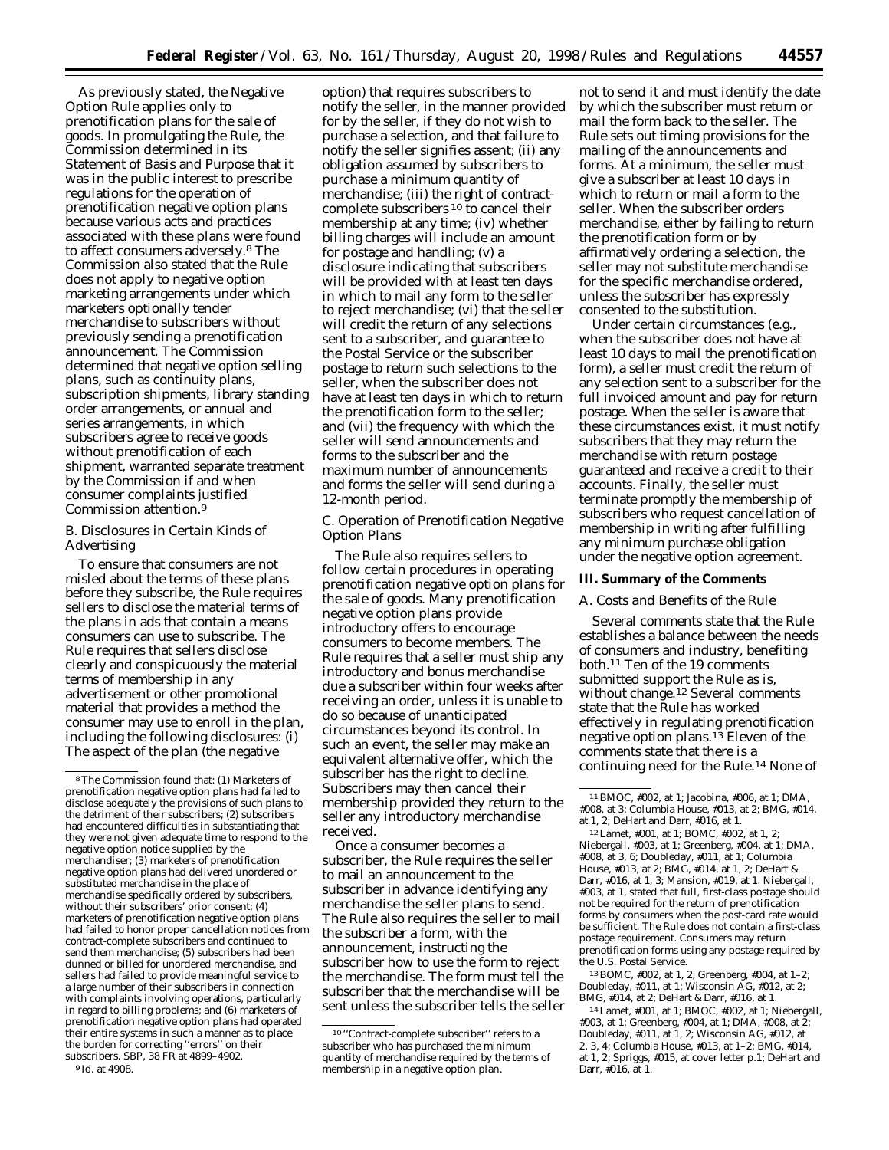As previously stated, the Negative Option Rule applies only to prenotification plans for the sale of goods. In promulgating the Rule, the Commission determined in its Statement of Basis and Purpose that it was in the public interest to prescribe regulations for the operation of prenotification negative option plans because various acts and practices associated with these plans were found to affect consumers adversely.8 The Commission also stated that the Rule does not apply to negative option marketing arrangements under which marketers optionally tender merchandise to subscribers without previously sending a prenotification announcement. The Commission determined that negative option selling plans, such as continuity plans, subscription shipments, library standing order arrangements, or annual and series arrangements, in which subscribers agree to receive goods without prenotification of each shipment, warranted separate treatment by the Commission if and when consumer complaints justified Commission attention.9

# *B. Disclosures in Certain Kinds of Advertising*

To ensure that consumers are not misled about the terms of these plans before they subscribe, the Rule requires sellers to disclose the material terms of the plans in ads that contain a means consumers can use to subscribe. The Rule requires that sellers disclose clearly and conspicuously the material terms of membership in any advertisement or other promotional material that provides a method the consumer may use to enroll in the plan, including the following disclosures: (i) The aspect of the plan (the negative

option) that requires subscribers to notify the seller, in the manner provided for by the seller, if they do not wish to purchase a selection, and that failure to notify the seller signifies assent; (ii) any obligation assumed by subscribers to purchase a minimum quantity of merchandise; (iii) the right of contractcomplete subscribers 10 to cancel their membership at any time; (iv) whether billing charges will include an amount for postage and handling; (v) a disclosure indicating that subscribers will be provided with at least ten days in which to mail any form to the seller to reject merchandise; (vi) that the seller will credit the return of any selections sent to a subscriber, and guarantee to the Postal Service or the subscriber postage to return such selections to the seller, when the subscriber does not have at least ten days in which to return the prenotification form to the seller; and (vii) the frequency with which the seller will send announcements and forms to the subscriber and the maximum number of announcements and forms the seller will send during a 12-month period.

## *C. Operation of Prenotification Negative Option Plans*

The Rule also requires sellers to follow certain procedures in operating prenotification negative option plans for the sale of goods. Many prenotification negative option plans provide introductory offers to encourage consumers to become members. The Rule requires that a seller must ship any introductory and bonus merchandise due a subscriber within four weeks after receiving an order, unless it is unable to do so because of unanticipated circumstances beyond its control. In such an event, the seller may make an equivalent alternative offer, which the subscriber has the right to decline. Subscribers may then cancel their membership provided they return to the seller any introductory merchandise received.

Once a consumer becomes a subscriber, the Rule requires the seller to mail an announcement to the subscriber in advance identifying any merchandise the seller plans to send. The Rule also requires the seller to mail the subscriber a form, with the announcement, instructing the subscriber how to use the form to reject the merchandise. The form must tell the subscriber that the merchandise will be sent unless the subscriber tells the seller

not to send it and must identify the date by which the subscriber must return or mail the form back to the seller. The Rule sets out timing provisions for the mailing of the announcements and forms. At a minimum, the seller must give a subscriber at least 10 days in which to return or mail a form to the seller. When the subscriber orders merchandise, either by failing to return the prenotification form or by affirmatively ordering a selection, the seller may not substitute merchandise for the specific merchandise ordered, unless the subscriber has expressly consented to the substitution.

Under certain circumstances (e.g., when the subscriber does not have at least 10 days to mail the prenotification form), a seller must credit the return of any selection sent to a subscriber for the full invoiced amount and pay for return postage. When the seller is aware that these circumstances exist, it must notify subscribers that they may return the merchandise with return postage guaranteed and receive a credit to their accounts. Finally, the seller must terminate promptly the membership of subscribers who request cancellation of membership in writing after fulfilling any minimum purchase obligation under the negative option agreement.

# **III. Summary of the Comments**

### *A. Costs and Benefits of the Rule*

Several comments state that the Rule establishes a balance between the needs of consumers and industry, benefiting both.11 Ten of the 19 comments submitted support the Rule as is, without change.12 Several comments state that the Rule has worked effectively in regulating prenotification negative option plans.13 Eleven of the comments state that there is a continuing need for the Rule.14 None of

12Lamet, #001, at 1; BOMC, #002, at 1, 2; Niebergall, #003, at 1; Greenberg, #004, at 1; DMA, #008, at 3, 6; Doubleday, #011, at 1; Columbia House, #013, at 2; BMG, #014, at 1, 2; DeHart & Darr, #016, at 1, 3; Mansion, #019, at 1. Niebergall, #003, at 1, stated that full, first-class postage should not be required for the return of prenotification forms by consumers when the post-card rate would be sufficient. The Rule does not contain a first-class postage requirement. Consumers may return prenotification forms using any postage required by the U.S. Postal Service.

13BOMC, #002, at 1, 2; Greenberg, #004, at 1–2; Doubleday, #011, at 1; Wisconsin AG, #012, at 2; BMG, #014, at 2; DeHart & Darr, #016, at 1.

14Lamet, #001, at 1; BMOC, #002, at 1; Niebergall, #003, at 1; Greenberg, #004, at 1; DMA, #008, at 2; Doubleday, #011, at 1, 2; Wisconsin AG, #012, at 2, 3, 4; Columbia House, #013, at 1–2; BMG, #014, at 1, 2; Spriggs, #015, at cover letter p.1; DeHart and Darr, #016, at 1.

<sup>8</sup>The Commission found that: (1) Marketers of prenotification negative option plans had failed to disclose adequately the provisions of such plans to the detriment of their subscribers; (2) subscribers had encountered difficulties in substantiating that they were not given adequate time to respond to the negative option notice supplied by the merchandiser; (3) marketers of prenotification negative option plans had delivered unordered or substituted merchandise in the place of merchandise specifically ordered by subscribers, without their subscribers' prior consent; (4) marketers of prenotification negative option plans had failed to honor proper cancellation notices from contract-complete subscribers and continued to send them merchandise; (5) subscribers had been dunned or billed for unordered merchandise, and sellers had failed to provide meaningful service to a large number of their subscribers in connection with complaints involving operations, particularly in regard to billing problems; and (6) marketers of prenotification negative option plans had operated their entire systems in such a manner as to place the burden for correcting ''errors'' on their subscribers. SBP, 38 FR at 4899–4902.

<sup>9</sup> Id. at 4908.

<sup>10</sup> ''Contract-complete subscriber'' refers to a subscriber who has purchased the minimum quantity of merchandise required by the terms of membership in a negative option plan.

<sup>11</sup>BMOC, #002, at 1; Jacobina, #006, at 1; DMA, #008, at 3; Columbia House, #013, at 2; BMG, #014, at 1, 2; DeHart and Darr, #016, at 1.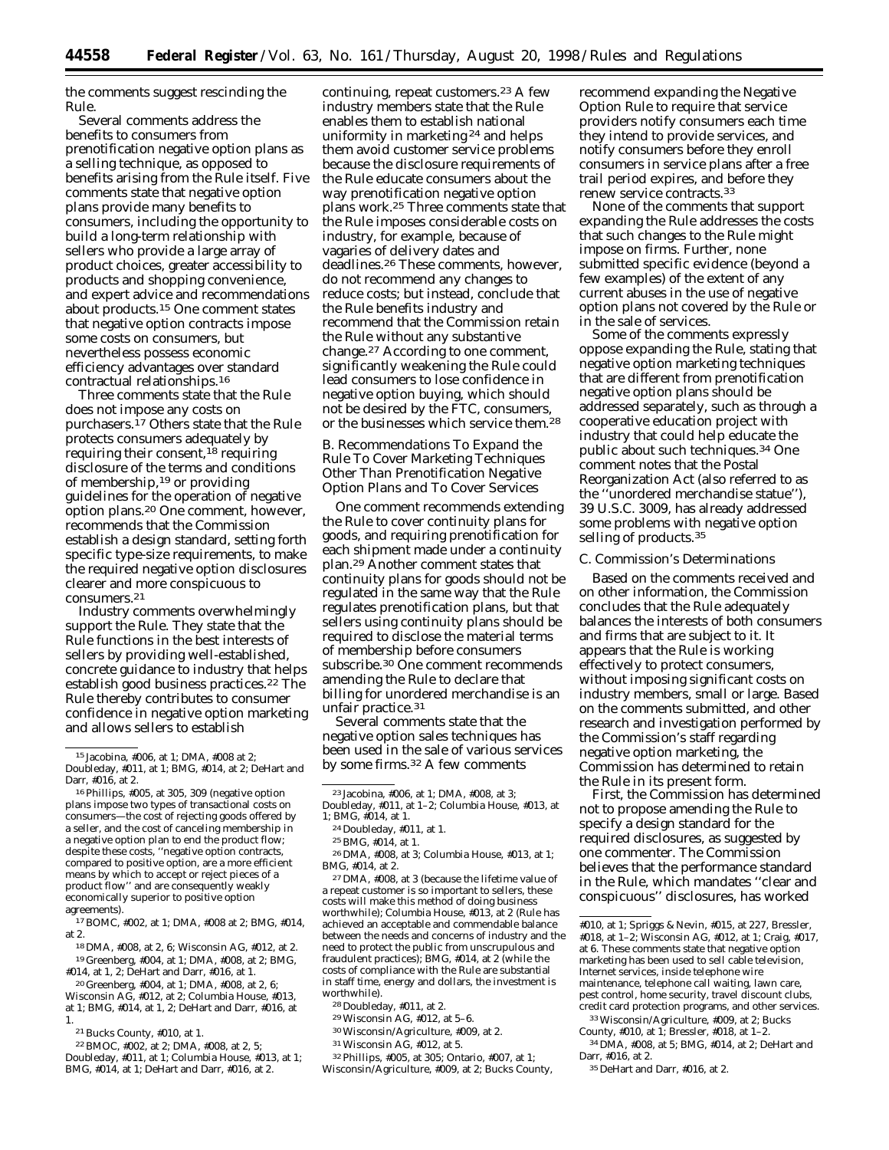the comments suggest rescinding the Rule.

Several comments address the benefits to consumers from prenotification negative option plans as a selling technique, as opposed to benefits arising from the Rule itself. Five comments state that negative option plans provide many benefits to consumers, including the opportunity to build a long-term relationship with sellers who provide a large array of product choices, greater accessibility to products and shopping convenience, and expert advice and recommendations about products.15 One comment states that negative option contracts impose some costs on consumers, but nevertheless possess economic efficiency advantages over standard contractual relationships.16

Three comments state that the Rule does not impose any costs on purchasers.17 Others state that the Rule protects consumers adequately by requiring their consent,  $^{18}$  requiring disclosure of the terms and conditions of membership,19 or providing guidelines for the operation of negative option plans.20 One comment, however, recommends that the Commission establish a design standard, setting forth specific type-size requirements, to make the required negative option disclosures clearer and more conspicuous to consumers.21

Industry comments overwhelmingly support the Rule. They state that the Rule functions in the best interests of sellers by providing well-established, concrete guidance to industry that helps establish good business practices.<sup>22</sup> The Rule thereby contributes to consumer confidence in negative option marketing and allows sellers to establish

18 DMA, #008, at 2, 6; Wisconsin AG, #012, at 2. 19 Greenberg, #004, at 1; DMA, #008, at 2; BMG, #014, at 1, 2; DeHart and Darr, #016, at 1.

20 Greenberg, #004, at 1; DMA, #008, at 2, 6; Wisconsin AG, #012, at 2; Columbia House, #013, at 1; BMG, #014, at 1, 2; DeHart and Darr, #016, at 1.

21Bucks County, #010, at 1.

22BMOC, #002, at 2; DMA, #008, at 2, 5; Doubleday, #011, at 1; Columbia House, #013, at 1; BMG, #014, at 1; DeHart and Darr, #016, at 2.

continuing, repeat customers.<sup>23</sup> A few industry members state that the Rule enables them to establish national uniformity in marketing 24 and helps them avoid customer service problems because the disclosure requirements of the Rule educate consumers about the way prenotification negative option plans work.25 Three comments state that the Rule imposes considerable costs on industry, for example, because of vagaries of delivery dates and deadlines.26 These comments, however, do not recommend any changes to reduce costs; but instead, conclude that the Rule benefits industry and recommend that the Commission retain the Rule without any substantive change.27 According to one comment, significantly weakening the Rule could lead consumers to lose confidence in negative option buying, which should not be desired by the FTC, consumers, or the businesses which service them.28

# *B. Recommendations To Expand the Rule To Cover Marketing Techniques Other Than Prenotification Negative Option Plans and To Cover Services*

One comment recommends extending the Rule to cover continuity plans for goods, and requiring prenotification for each shipment made under a continuity plan.29 Another comment states that continuity plans for goods should not be regulated in the same way that the Rule regulates prenotification plans, but that sellers using continuity plans should be required to disclose the material terms of membership before consumers subscribe.30 One comment recommends amending the Rule to declare that billing for unordered merchandise is an unfair practice.31

Several comments state that the negative option sales techniques has been used in the sale of various services by some firms.32 A few comments

26 DMA, #008, at 3; Columbia House, #013, at 1; BMG, #014, at 2.

27 DMA, #008, at 3 (because the lifetime value of a repeat customer is so important to sellers, these costs will make this method of doing business worthwhile); Columbia House, #013, at 2 (Rule has achieved an acceptable and commendable balance between the needs and concerns of industry and the need to protect the public from unscrupulous and fraudulent practices); BMG, #014, at 2 (while the costs of compliance with the Rule are substantial in staff time, energy and dollars, the investment is worthwhile).

28 Doubleday, #011, at 2.

29Wisconsin AG, #012, at 5–6.

30Wisconsin/Agriculture, #009, at 2.

31Wisconsin AG, #012, at 5.

32Phillips, #005, at 305; Ontario, #007, at 1; Wisconsin/Agriculture, #009, at 2; Bucks County, recommend expanding the Negative Option Rule to require that service providers notify consumers each time they intend to provide services, and notify consumers before they enroll consumers in service plans after a free trail period expires, and before they renew service contracts.33

None of the comments that support expanding the Rule addresses the costs that such changes to the Rule might impose on firms. Further, none submitted specific evidence (beyond a few examples) of the extent of any current abuses in the use of negative option plans not covered by the Rule or in the sale of services.

Some of the comments expressly oppose expanding the Rule, stating that negative option marketing techniques that are different from prenotification negative option plans should be addressed separately, such as through a cooperative education project with industry that could help educate the public about such techniques.34 One comment notes that the Postal Reorganization Act (also referred to as the ''unordered merchandise statue''), 39 U.S.C. 3009, has already addressed some problems with negative option selling of products.<sup>35</sup>

### *C. Commission's Determinations*

Based on the comments received and on other information, the Commission concludes that the Rule adequately balances the interests of both consumers and firms that are subject to it. It appears that the Rule is working effectively to protect consumers, without imposing significant costs on industry members, small or large. Based on the comments submitted, and other research and investigation performed by the Commission's staff regarding negative option marketing, the Commission has determined to retain the Rule in its present form.

First, the Commission has determined not to propose amending the Rule to specify a design standard for the required disclosures, as suggested by one commenter. The Commission believes that the performance standard in the Rule, which mandates ''clear and conspicuous'' disclosures, has worked

34 DMA, #008, at 5; BMG, #014, at 2; DeHart and Darr, #016, at 2.

35 DeHart and Darr, #016, at 2.

<sup>15</sup> Jacobina, #006, at 1; DMA, #008 at 2; Doubleday, #011, at 1; BMG, #014, at 2; DeHart and Darr, #016, at 2.

<sup>16</sup>Phillips, #005, at 305, 309 (negative option plans impose two types of transactional costs on consumers—the cost of rejecting goods offered by a seller, and the cost of canceling membership in a negative option plan to end the product flow; despite these costs, ''negative option contracts, compared to positive option, are a more efficient means by which to accept or reject pieces of a product flow'' and are consequently weakly economically superior to positive option agreements).

<sup>17</sup>BOMC, #002, at 1; DMA, #008 at 2; BMG, #014, at 2.

<sup>23</sup> Jacobina, #006, at 1; DMA, #008, at 3;

Doubleday, #011, at 1–2; Columbia House, #013, at 1; BMG, #014, at 1.

<sup>24</sup> Doubleday, #011, at 1.

<sup>25</sup>BMG, #014, at 1.

<sup>#</sup>010, at 1; Spriggs & Nevin, #015, at 227, Bressler, #018, at 1–2; Wisconsin AG, #012, at 1; Craig, #017, at 6. These comments state that negative option marketing has been used to sell cable television, Internet services, inside telephone wire maintenance, telephone call waiting, lawn care, pest control, home security, travel discount clubs, credit card protection programs, and other services. 33Wisconsin/Agriculture, #009, at 2; Bucks County, #010, at 1; Bressler, #018, at 1–2.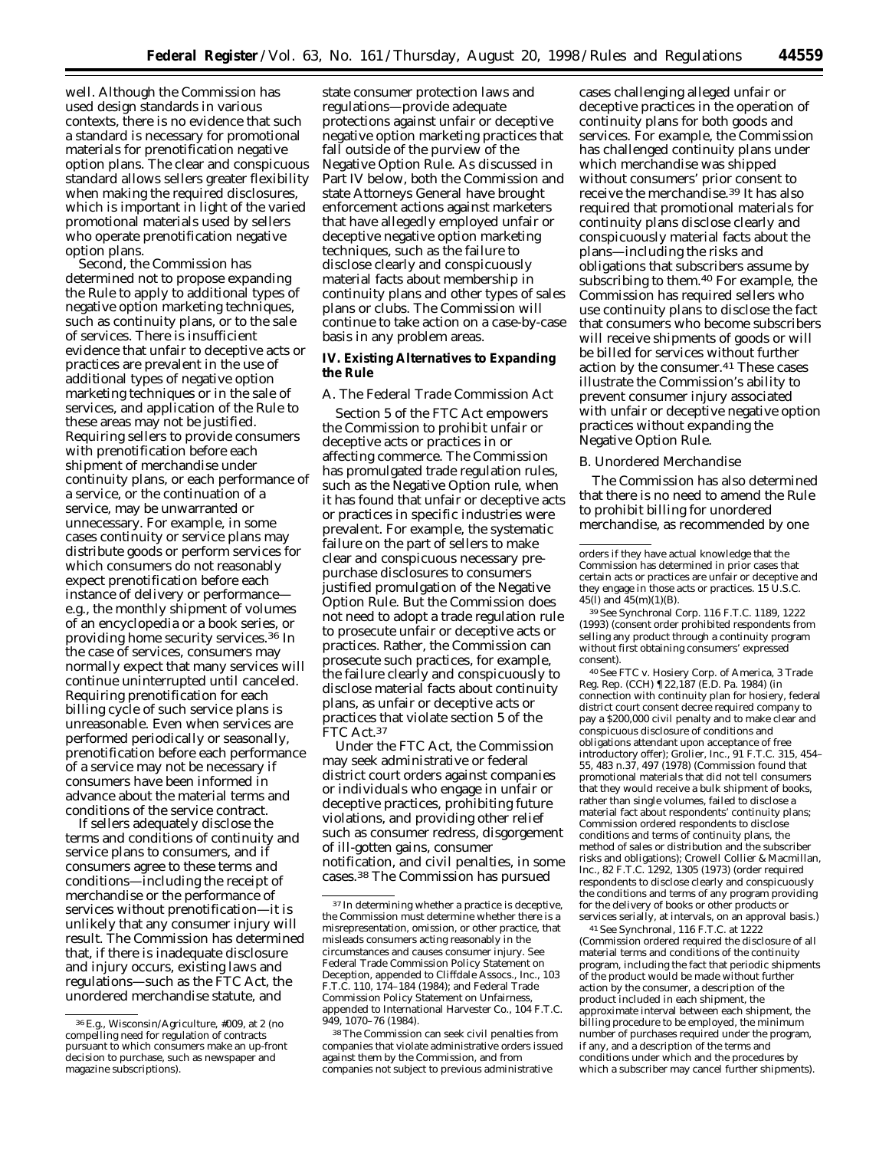well. Although the Commission has used design standards in various contexts, there is no evidence that such a standard is necessary for promotional materials for prenotification negative option plans. The clear and conspicuous standard allows sellers greater flexibility when making the required disclosures, which is important in light of the varied promotional materials used by sellers who operate prenotification negative option plans.

Second, the Commission has determined not to propose expanding the Rule to apply to additional types of negative option marketing techniques, such as continuity plans, or to the sale of services. There is insufficient evidence that unfair to deceptive acts or practices are prevalent in the use of additional types of negative option marketing techniques or in the sale of services, and application of the Rule to these areas may not be justified. Requiring sellers to provide consumers with prenotification before each shipment of merchandise under continuity plans, or each performance of a service, or the continuation of a service, may be unwarranted or unnecessary. For example, in some cases continuity or service plans may distribute goods or perform services for which consumers do not reasonably expect prenotification before each instance of delivery or performance e.g., the monthly shipment of volumes of an encyclopedia or a book series, or providing home security services.36 In the case of services, consumers may normally expect that many services will continue uninterrupted until canceled. Requiring prenotification for each billing cycle of such service plans is unreasonable. Even when services are performed periodically or seasonally, prenotification before each performance of a service may not be necessary if consumers have been informed in advance about the material terms and conditions of the service contract.

If sellers adequately disclose the terms and conditions of continuity and service plans to consumers, and if consumers agree to these terms and conditions—including the receipt of merchandise or the performance of services without prenotification—it is unlikely that any consumer injury will result. The Commission has determined that, if there is inadequate disclosure and injury occurs, existing laws and regulations—such as the FTC Act, the unordered merchandise statute, and

state consumer protection laws and regulations—provide adequate protections against unfair or deceptive negative option marketing practices that fall outside of the purview of the Negative Option Rule. As discussed in Part IV below, both the Commission and state Attorneys General have brought enforcement actions against marketers that have allegedly employed unfair or deceptive negative option marketing techniques, such as the failure to disclose clearly and conspicuously material facts about membership in continuity plans and other types of sales plans or clubs. The Commission will continue to take action on a case-by-case basis in any problem areas.

# **IV. Existing Alternatives to Expanding the Rule**

## *A. The Federal Trade Commission Act*

Section 5 of the FTC Act empowers the Commission to prohibit unfair or deceptive acts or practices in or affecting commerce. The Commission has promulgated trade regulation rules, such as the Negative Option rule, when it has found that unfair or deceptive acts or practices in specific industries were prevalent. For example, the systematic failure on the part of sellers to make clear and conspicuous necessary prepurchase disclosures to consumers justified promulgation of the Negative Option Rule. But the Commission does not need to adopt a trade regulation rule to prosecute unfair or deceptive acts or practices. Rather, the Commission can prosecute such practices, for example, the failure clearly and conspicuously to disclose material facts about continuity plans, as unfair or deceptive acts or practices that violate section 5 of the FTC Act.<sup>37</sup>

Under the FTC Act, the Commission may seek administrative or federal district court orders against companies or individuals who engage in unfair or deceptive practices, prohibiting future violations, and providing other relief such as consumer redress, disgorgement of ill-gotten gains, consumer notification, and civil penalties, in some cases.38 The Commission has pursued

cases challenging alleged unfair or deceptive practices in the operation of continuity plans for both goods and services. For example, the Commission has challenged continuity plans under which merchandise was shipped without consumers' prior consent to receive the merchandise.39 It has also required that promotional materials for continuity plans disclose clearly and conspicuously material facts about the plans—including the risks and obligations that subscribers assume by subscribing to them.40 For example, the Commission has required sellers who use continuity plans to disclose the fact that consumers who become subscribers will receive shipments of goods or will be billed for services without further action by the consumer.41 These cases illustrate the Commission's ability to prevent consumer injury associated with unfair or deceptive negative option practices without expanding the Negative Option Rule.

### *B. Unordered Merchandise*

The Commission has also determined that there is no need to amend the Rule to prohibit billing for unordered merchandise, as recommended by one

39See Synchronal Corp. 116 F.T.C. 1189, 1222 (1993) (consent order prohibited respondents from selling any product through a continuity program without first obtaining consumers' expressed consent).

40See FTC v. Hosiery Corp. of America, 3 Trade Reg. Rep. (CCH) ¶22,187 (E.D. Pa. 1984) (in connection with continuity plan for hosiery, federal district court consent decree required company to pay a \$200,000 civil penalty and to make clear and conspicuous disclosure of conditions and obligations attendant upon acceptance of free introductory offer); Grolier, Inc., 91 F.T.C. 315, 454– 55, 483 n.37, 497 (1978) (Commission found that promotional materials that did not tell consumers that they would receive a bulk shipment of books, rather than single volumes, failed to disclose a material fact about respondents' continuity plans; Commission ordered respondents to disclose conditions and terms of continuity plans, the method of sales or distribution and the subscriber risks and obligations); Crowell Collier & Macmillan, Inc., 82 F.T.C. 1292, 1305 (1973) (order required respondents to disclose clearly and conspicuously the conditions and terms of any program providing for the delivery of books or other products or services serially, at intervals, on an approval basis.)

41See Synchronal, 116 F.T.C. at 1222 (Commission ordered required the disclosure of all material terms and conditions of the continuity program, including the fact that periodic shipments of the product would be made without further action by the consumer, a description of the product included in each shipment, the approximate interval between each shipment, the billing procedure to be employed, the minimum number of purchases required under the program, if any, and a description of the terms and conditions under which and the procedures by which a subscriber may cancel further shipments).

<sup>36</sup>E.g., Wisconsin/Agriculture, #009, at 2 (no compelling need for regulation of contracts pursuant to which consumers make an up-front decision to purchase, such as newspaper and magazine subscriptions).

<sup>37</sup> In determining whether a practice is deceptive, the Commission must determine whether there is a misrepresentation, omission, or other practice, that misleads consumers acting reasonably in the circumstances and causes consumer injury. See Federal Trade Commission Policy Statement on Deception, appended to Cliffdale Assocs., Inc., 103 F.T.C. 110, 174–184 (1984); and Federal Trade Commission Policy Statement on Unfairness, appended to International Harvester Co., 104 F.T.C. 949, 1070–76 (1984).

<sup>38</sup>The Commission can seek civil penalties from companies that violate administrative orders issued against them by the Commission, and from companies not subject to previous administrative

orders if they have actual knowledge that the Commission has determined in prior cases that certain acts or practices are unfair or deceptive and they engage in those acts or practices. 15 U.S.C. 45(l) and 45(m)(1)(B).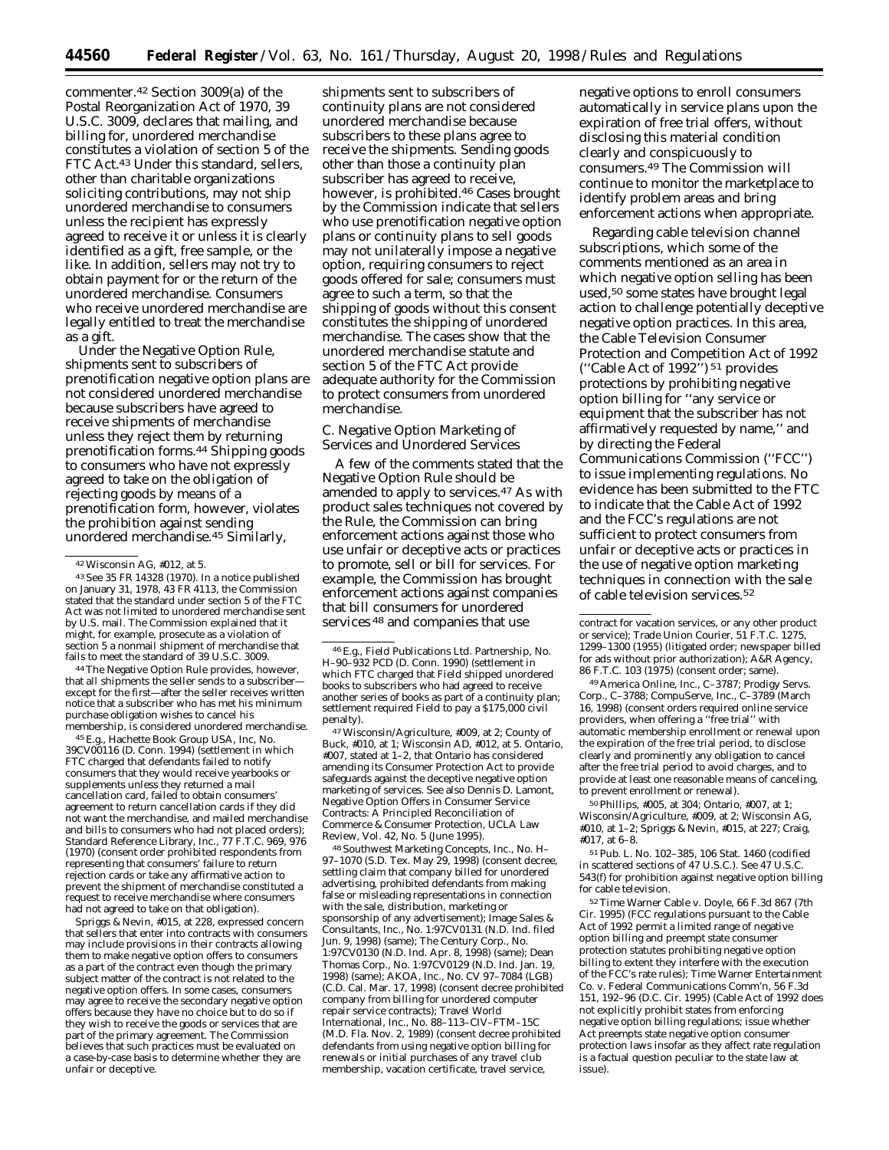commenter.42 Section 3009(a) of the Postal Reorganization Act of 1970, 39 U.S.C. 3009, declares that mailing, and billing for, unordered merchandise constitutes a violation of section 5 of the FTC Act.43 Under this standard, sellers, other than charitable organizations soliciting contributions, may not ship unordered merchandise to consumers unless the recipient has expressly agreed to receive it or unless it is clearly identified as a gift, free sample, or the like. In addition, sellers may not try to obtain payment for or the return of the unordered merchandise. Consumers who receive unordered merchandise are legally entitled to treat the merchandise as a gift.

Under the Negative Option Rule, shipments sent to subscribers of prenotification negative option plans are not considered unordered merchandise because subscribers have agreed to receive shipments of merchandise unless they reject them by returning prenotification forms.44 Shipping goods to consumers who have not expressly agreed to take on the obligation of rejecting goods by means of a prenotification form, however, violates the prohibition against sending unordered merchandise.45 Similarly,

43See 35 FR 14328 (1970). In a notice published on January 31, 1978, 43 FR 4113, the Commission stated that the standard under section 5 of the FTC Act was not limited to unordered merchandise sent by U.S. mail. The Commission explained that it might, for example, prosecute as a violation of section 5 a nonmail shipment of merchandise that fails to meet the standard of 39 U.S.C. 3009.

44The Negative Option Rule provides, however, that all shipments the seller sends to a subscriber except for the first—after the seller receives written notice that a subscriber who has met his minimum purchase obligation wishes to cancel his membership, is considered unordered merchandise.

45E.g., Hachette Book Group USA, Inc, No. 39CV00116 (D. Conn. 1994) (settlement in which FTC charged that defendants failed to notify consumers that they would receive yearbooks or supplements unless they returned a mail cancellation card, failed to obtain consumers' agreement to return cancellation cards if they did not want the merchandise, and mailed merchandise and bills to consumers who had not placed orders); Standard Reference Library, Inc., 77 F.T.C. 969, 976 (1970) (consent order prohibited respondents from representing that consumers' failure to return rejection cards or take any affirmative action to prevent the shipment of merchandise constituted a request to receive merchandise where consumers had not agreed to take on that obligation).

Spriggs & Nevin, #015, at 228, expressed concern that sellers that enter into contracts with consumers may include provisions in their contracts allowing them to make negative option offers to consumers as a part of the contract even though the primary subject matter of the contract is not related to the negative option offers. In some cases, consumers may agree to receive the secondary negative option offers because they have no choice but to do so if they wish to receive the goods or services that are part of the primary agreement. The Commission believes that such practices must be evaluated on a case-by-case basis to determine whether they are unfair or deceptive.

shipments sent to subscribers of continuity plans are not considered unordered merchandise because subscribers to these plans agree to receive the shipments. Sending goods other than those a continuity plan subscriber has agreed to receive, however, is prohibited.46 Cases brought by the Commission indicate that sellers who use prenotification negative option plans or continuity plans to sell goods may not unilaterally impose a negative option, requiring consumers to reject goods offered for sale; consumers must agree to such a term, so that the shipping of goods without this consent constitutes the shipping of unordered merchandise. The cases show that the unordered merchandise statute and section 5 of the FTC Act provide adequate authority for the Commission to protect consumers from unordered merchandise.

# *C. Negative Option Marketing of Services and Unordered Services*

A few of the comments stated that the Negative Option Rule should be amended to apply to services.47 As with product sales techniques not covered by the Rule, the Commission can bring enforcement actions against those who use unfair or deceptive acts or practices to promote, sell or bill for services. For example, the Commission has brought enforcement actions against companies that bill consumers for unordered services 48 and companies that use

47Wisconsin/Agriculture, #009, at 2; County of Buck, #010, at 1; Wisconsin AD, #012, at 5. Ontario, #007, stated at 1–2, that Ontario has considered amending its Consumer Protection Act to provide safeguards against the deceptive negative option marketing of services. See also Dennis D. Lamont, Negative Option Offers in Consumer Service Contracts: A Principled Reconciliation of Commerce & Consumer Protection, UCLA Law Review, Vol. 42, No. 5 (June 1995).

48Southwest Marketing Concepts, Inc., No. H– 97–1070 (S.D. Tex. May 29, 1998) (consent decree, settling claim that company billed for unordered advertising, prohibited defendants from making false or misleading representations in connection with the sale, distribution, marketing or sponsorship of any advertisement); Image Sales & Consultants, Inc., No. 1:97CV0131 (N.D. Ind. filed Jun. 9, 1998) (same); The Century Corp., No. 1:97CV0130 (N.D. Ind. Apr. 8, 1998) (same); Dean Thomas Corp., No. 1:97CV0129 (N.D. Ind. Jan. 19, 1998) (same); AKOA, Inc., No. CV 97–7084 (LGB) (C.D. Cal. Mar. 17, 1998) (consent decree prohibited company from billing for unordered computer repair service contracts); Travel World International, Inc., No. 88–113–CIV–FTM–15C (M.D. Fla. Nov. 2, 1989) (consent decree prohibited defendants from using negative option billing for renewals or initial purchases of any travel club membership, vacation certificate, travel service,

negative options to enroll consumers automatically in service plans upon the expiration of free trial offers, without disclosing this material condition clearly and conspicuously to consumers.49 The Commission will continue to monitor the marketplace to identify problem areas and bring enforcement actions when appropriate.

Regarding cable television channel subscriptions, which some of the comments mentioned as an area in which negative option selling has been used,50 some states have brought legal action to challenge potentially deceptive negative option practices. In this area, the Cable Television Consumer Protection and Competition Act of 1992 (''Cable Act of 1992'') 51 provides protections by prohibiting negative option billing for ''any service or equipment that the subscriber has not affirmatively requested by name,'' and by directing the Federal Communications Commission (''FCC'') to issue implementing regulations. No evidence has been submitted to the FTC to indicate that the Cable Act of 1992 and the FCC's regulations are not sufficient to protect consumers from unfair or deceptive acts or practices in the use of negative option marketing techniques in connection with the sale of cable television services.52

49America Online, Inc., C–3787; Prodigy Servs. Corp., C–3788; CompuServe, Inc., C–3789 (March 16, 1998) (consent orders required online service providers, when offering a ''free trial'' with automatic membership enrollment or renewal upon the expiration of the free trial period, to disclose clearly and prominently any obligation to cancel after the free trial period to avoid charges, and to provide at least one reasonable means of canceling, to prevent enrollment or renewal).

50Phillips, #005, at 304; Ontario, #007, at 1; Wisconsin/Agriculture, #009, at 2; Wisconsin AG, #010, at 1–2; Spriggs & Nevin, #015, at 227; Craig, #017, at 6–8.

51Pub. L. No. 102–385, 106 Stat. 1460 (codified in scattered sections of 47 U.S.C.). See 47 U.S.C. 543(f) for prohibition against negative option billing for cable television.

52Time Warner Cable v. Doyle, 66 F.3d 867 (7th Cir. 1995) (FCC regulations pursuant to the Cable Act of 1992 permit a limited range of negative option billing and preempt state consumer protection statutes prohibiting negative option billing to extent they interfere with the execution of the FCC's rate rules); Time Warner Entertainment Co. v. Federal Communications Comm'n, 56 F.3d 151, 192–96 (D.C. Cir. 1995) (Cable Act of 1992 does not explicitly prohibit states from enforcing negative option billing regulations; issue whether Act preempts state negative option consumer protection laws insofar as they affect rate regulation is a factual question peculiar to the state law at issue).

<sup>42</sup>Wisconsin AG, #012, at 5.

<sup>46</sup>E.g., Field Publications Ltd. Partnership, No. H–90–932 PCD (D. Conn. 1990) (settlement in which FTC charged that Field shipped unordered books to subscribers who had agreed to receive another series of books as part of a continuity plan; settlement required Field to pay a \$175,000 civil penalty).

contract for vacation services, or any other product or service); Trade Union Courier, 51 F.T.C. 1275, 1299–1300 (1955) (litigated order; newspaper billed for ads without prior authorization); A&R Agency, 86 F.T.C. 103 (1975) (consent order; same).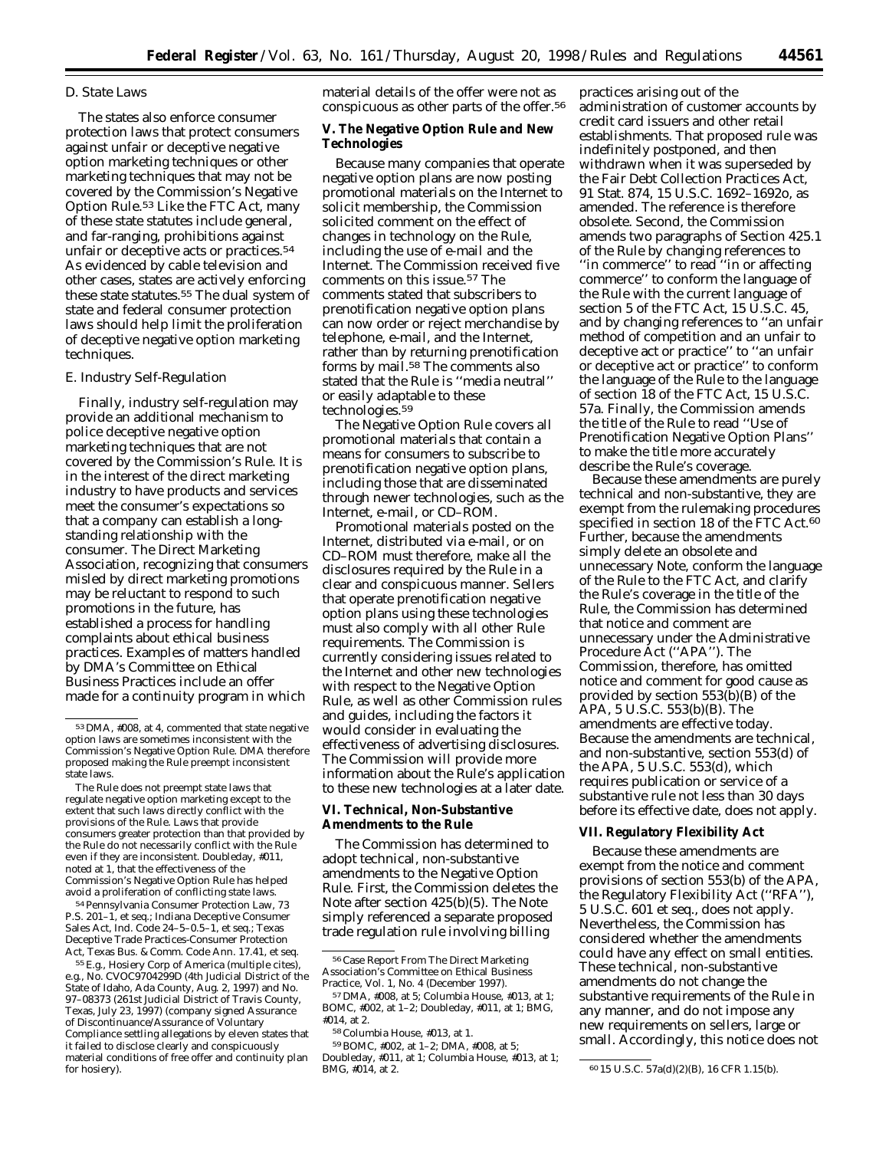## *D. State Laws*

The states also enforce consumer protection laws that protect consumers against unfair or deceptive negative option marketing techniques or other marketing techniques that may not be covered by the Commission's Negative Option Rule.53 Like the FTC Act, many of these state statutes include general, and far-ranging, prohibitions against unfair or deceptive acts or practices.54 As evidenced by cable television and other cases, states are actively enforcing these state statutes.55 The dual system of state and federal consumer protection laws should help limit the proliferation of deceptive negative option marketing techniques.

### *E. Industry Self-Regulation*

Finally, industry self-regulation may provide an additional mechanism to police deceptive negative option marketing techniques that are not covered by the Commission's Rule. It is in the interest of the direct marketing industry to have products and services meet the consumer's expectations so that a company can establish a longstanding relationship with the consumer. The Direct Marketing Association, recognizing that consumers misled by direct marketing promotions may be reluctant to respond to such promotions in the future, has established a process for handling complaints about ethical business practices. Examples of matters handled by DMA's Committee on Ethical Business Practices include an offer made for a continuity program in which

54 Pennsylvania Consumer Protection Law, 73 P.S. 201–1, et seq.; Indiana Deceptive Consumer Sales Act, Ind. Code 24–5–0.5–1, et seq.; Texas Deceptive Trade Practices-Consumer Protection Act, Texas Bus. & Comm. Code Ann. 17.41, et seq.

55E.g., Hosiery Corp of America (multiple cites), e.g., No. CVOC9704299D (4th Judicial District of the State of Idaho, Ada County, Aug. 2, 1997) and No. 97–08373 (261st Judicial District of Travis County, Texas, July 23, 1997) (company signed Assurance of Discontinuance/Assurance of Voluntary Compliance settling allegations by eleven states that it failed to disclose clearly and conspicuously material conditions of free offer and continuity plan for hosiery).

material details of the offer were not as conspicuous as other parts of the offer.56

# **V. The Negative Option Rule and New Technologies**

Because many companies that operate negative option plans are now posting promotional materials on the Internet to solicit membership, the Commission solicited comment on the effect of changes in technology on the Rule, including the use of e-mail and the Internet. The Commission received five comments on this issue.57 The comments stated that subscribers to prenotification negative option plans can now order or reject merchandise by telephone, e-mail, and the Internet, rather than by returning prenotification forms by mail.58 The comments also stated that the Rule is ''media neutral'' or easily adaptable to these technologies.59

The Negative Option Rule covers all promotional materials that contain a means for consumers to subscribe to prenotification negative option plans, including those that are disseminated through newer technologies, such as the Internet, e-mail, or CD–ROM.

Promotional materials posted on the Internet, distributed via e-mail, or on CD–ROM must therefore, make all the disclosures required by the Rule in a clear and conspicuous manner. Sellers that operate prenotification negative option plans using these technologies must also comply with all other Rule requirements. The Commission is currently considering issues related to the Internet and other new technologies with respect to the Negative Option Rule, as well as other Commission rules and guides, including the factors it would consider in evaluating the effectiveness of advertising disclosures. The Commission will provide more information about the Rule's application to these new technologies at a later date.

# **VI. Technical, Non-Substantive Amendments to the Rule**

The Commission has determined to adopt technical, non-substantive amendments to the Negative Option Rule. First, the Commission deletes the Note after section 425(b)(5). The Note simply referenced a separate proposed trade regulation rule involving billing

practices arising out of the administration of customer accounts by credit card issuers and other retail establishments. That proposed rule was indefinitely postponed, and then withdrawn when it was superseded by the Fair Debt Collection Practices Act, 91 Stat. 874, 15 U.S.C. 1692–1692o, as amended. The reference is therefore obsolete. Second, the Commission amends two paragraphs of Section 425.1 of the Rule by changing references to ''in commerce'' to read ''in or affecting commerce'' to conform the language of the Rule with the current language of section 5 of the FTC Act, 15 U.S.C. 45, and by changing references to ''an unfair method of competition and an unfair to deceptive act or practice'' to ''an unfair or deceptive act or practice'' to conform the language of the Rule to the language of section 18 of the FTC Act, 15 U.S.C. 57a. Finally, the Commission amends the title of the Rule to read ''Use of Prenotification Negative Option Plans'' to make the title more accurately describe the Rule's coverage.

Because these amendments are purely technical and non-substantive, they are exempt from the rulemaking procedures specified in section 18 of the FTC Act.<sup>60</sup> Further, because the amendments simply delete an obsolete and unnecessary Note, conform the language of the Rule to the FTC Act, and clarify the Rule's coverage in the title of the Rule, the Commission has determined that notice and comment are unnecessary under the Administrative Procedure Act (''APA''). The Commission, therefore, has omitted notice and comment for good cause as provided by section 553(b)(B) of the APA, 5 U.S.C. 553(b)(B). The amendments are effective today. Because the amendments are technical, and non-substantive, section 553(d) of the APA, 5 U.S.C. 553(d), which requires publication or service of a substantive rule not less than 30 days before its effective date, does not apply.

### **VII. Regulatory Flexibility Act**

Because these amendments are exempt from the notice and comment provisions of section 553(b) of the APA, the Regulatory Flexibility Act (''RFA''), 5 U.S.C. 601 *et seq.,* does not apply. Nevertheless, the Commission has considered whether the amendments could have any effect on small entities. These technical, non-substantive amendments do not change the substantive requirements of the Rule in any manner, and do not impose any new requirements on sellers, large or small. Accordingly, this notice does not

<sup>53</sup> DMA, #008, at 4, commented that state negative option laws are sometimes inconsistent with the Commission's Negative Option Rule. DMA therefore proposed making the Rule preempt inconsistent state laws.

The Rule does not preempt state laws that regulate negative option marketing except to the extent that such laws directly conflict with the provisions of the Rule. Laws that provide consumers greater protection than that provided by the Rule do not necessarily conflict with the Rule even if they are inconsistent. Doubleday, #011, noted at 1, that the effectiveness of the Commission's Negative Option Rule has helped avoid a proliferation of conflicting state laws.

<sup>56</sup>Case Report From The Direct Marketing Association's Committee on Ethical Business Practice, Vol. 1, No. 4 (December 1997).

<sup>57</sup> DMA, #008, at 5; Columbia House, #013, at 1; BOMC, #002, at 1–2; Doubleday, #011, at 1; BMG,

<sup>#</sup>014, at 2.

<sup>58</sup>Columbia House, #013, at 1.

<sup>59</sup>BOMC, #002, at 1–2; DMA, #008, at 5; Doubleday, #011, at 1; Columbia House, #013, at 1;

<sup>60 15</sup> U.S.C. 57a(d)(2)(B), 16 CFR 1.15(b).